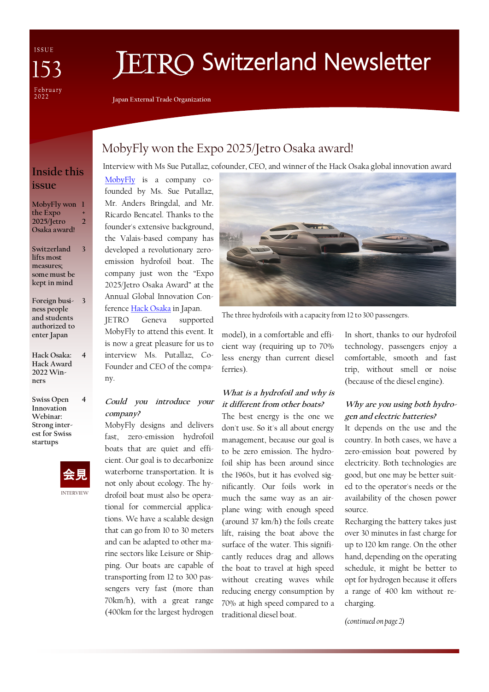ISSUE February<br>2022

# **ETRO Switzerland Newsletter**

**Japan External Trade Organization**

## MobyFly won the Expo 2025/Jetro Osaka award!

Interview with Ms Sue Putallaz, cofounder, CEO, and winner of the Hack Osaka global innovation award

## **Inside this issue**

**MobyFly won 1 the Expo 2025/Jetro Osaka award! + 2**

**Switzerland lifts most measures; some must be kept in mind 3**

**Foreign busi-3 ness people and students authorized to enter Japan**

**Hack Osaka: Hack Award 2022 Winners 4**

**Swiss Open Innovation Webinar: Strong interest for Swiss startups 4**



[MobyFly](https://mobyfly.com/) is a company cofounded by Ms. Sue Putallaz, Mr. Anders Bringdal, and Mr. Ricardo Bencatel. Thanks to the founder's extensive background, the Valais-based company has developed a revolutionary zeroemission hydrofoil boat. The company just won the "Expo 2025/Jetro Osaka Award" at the Annual Global Innovation Conference [Hack Osaka](https://www.innovation-osaka.jp/hackosaka/en/index.php) in Japan.

JETRO Geneva supported MobyFly to attend this event. It is now a great pleasure for us to interview Ms. Putallaz, Co-Founder and CEO of the company.

## **Could you introduce your company?**

MobyFly designs and delivers fast, zero-emission hydrofoil boats that are quiet and efficient. Our goal is to decarbonize waterborne transportation. It is not only about ecology. The hydrofoil boat must also be operational for commercial applications. We have a scalable design that can go from 10 to 30 meters and can be adapted to other marine sectors like Leisure or Shipping. Our boats are capable of transporting from 12 to 300 passengers very fast (more than 70km/h), with a great range (400km for the largest hydrogen



The three hydrofoils with a capacity from 12 to 300 passengers.

model), in a comfortable and efficient way (requiring up to 70% less energy than current diesel ferries).

## **What is a hydrofoil and why is it different from other boats?**

The best energy is the one we don't use. So it's all about energy management, because our goal is to be zero emission. The hydrofoil ship has been around since the 1960s, but it has evolved significantly. Our foils work in much the same way as an airplane wing: with enough speed (around 37 km/h) the foils create lift, raising the boat above the surface of the water. This significantly reduces drag and allows the boat to travel at high speed without creating waves while reducing energy consumption by 70% at high speed compared to a traditional diesel boat.

In short, thanks to our hydrofoil technology, passengers enjoy a comfortable, smooth and fast trip, without smell or noise (because of the diesel engine).

## **Why are you using both hydrogen and electric batteries?**

It depends on the use and the country. In both cases, we have a zero-emission boat powered by electricity. Both technologies are good, but one may be better suited to the operator's needs or the availability of the chosen power source.

Recharging the battery takes just over 30 minutes in fast charge for up to 120 km range. On the other hand, depending on the operating schedule, it might be better to opt for hydrogen because it offers a range of 400 km without recharging.

*(continued on page 2)*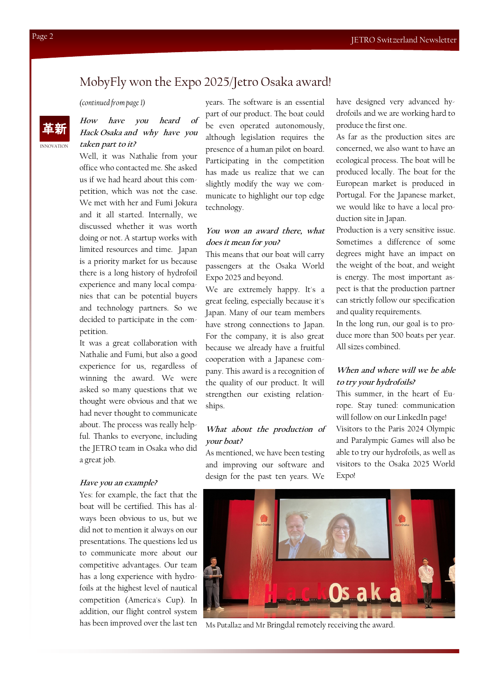## MobyFly won the Expo 2025/Jetro Osaka award!

*(continued from page 1)*

#### INNOVATION 革新 **How have you heard of Hack Osaka and why have you taken part to it?**

Well, it was Nathalie from your office who contacted me. She asked us if we had heard about this competition, which was not the case. We met with her and Fumi Jokura and it all started. Internally, we discussed whether it was worth doing or not. A startup works with limited resources and time. Japan is a priority market for us because there is a long history of hydrofoil experience and many local companies that can be potential buyers and technology partners. So we decided to participate in the competition.

It was a great collaboration with Nathalie and Fumi, but also a good experience for us, regardless of winning the award. We were asked so many questions that we thought were obvious and that we had never thought to communicate about. The process was really helpful. Thanks to everyone, including the JETRO team in Osaka who did a great job.

#### **Have you an example?**

Yes: for example, the fact that the boat will be certified. This has always been obvious to us, but we did not to mention it always on our presentations. The questions led us to communicate more about our competitive advantages. Our team has a long experience with hydrofoils at the highest level of nautical competition (America's Cup). In addition, our flight control system has been improved over the last ten

years. The software is an essential part of our product. The boat could be even operated autonomously, although legislation requires the presence of a human pilot on board. Participating in the competition has made us realize that we can slightly modify the way we communicate to highlight our top edge technology.

### **You won an award there, what does it mean for you?**

This means that our boat will carry passengers at the Osaka World Expo 2025 and beyond.

We are extremely happy. It's a great feeling, especially because it's Japan. Many of our team members have strong connections to Japan. For the company, it is also great because we already have a fruitful cooperation with a Japanese company. This award is a recognition of the quality of our product. It will strengthen our existing relationships.

## **What about the production of your boat?**

As mentioned, we have been testing and improving our software and design for the past ten years. We have designed very advanced hydrofoils and we are working hard to produce the first one.

As far as the production sites are concerned, we also want to have an ecological process. The boat will be produced locally. The boat for the European market is produced in Portugal. For the Japanese market, we would like to have a local production site in Japan.

Production is a very sensitive issue. Sometimes a difference of some degrees might have an impact on the weight of the boat, and weight is energy. The most important aspect is that the production partner can strictly follow our specification and quality requirements.

In the long run, our goal is to produce more than 500 boats per year. All sizes combined.

## **When and where will we be able to try your hydrofoils?**

This summer, in the heart of Europe. Stay tuned: communication will follow on our LinkedIn page! Visitors to the Paris 2024 Olympic and Paralympic Games will also be able to try our hydrofoils, as well as visitors to the Osaka 2025 World Expo!



Ms Putallaz and Mr Bringdal remotely receiving the award.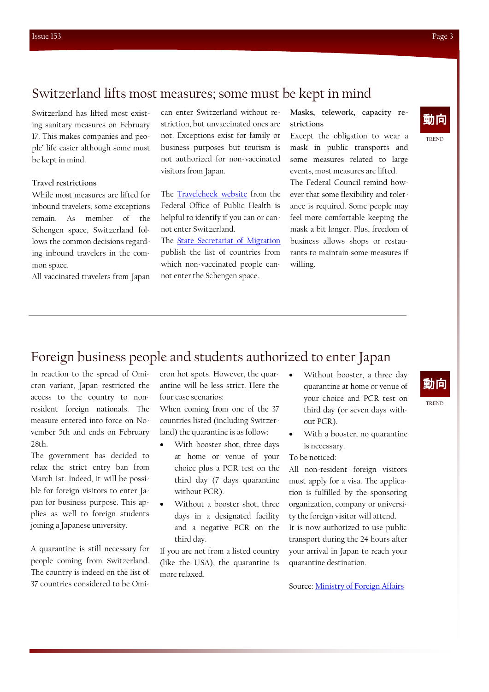## Switzerland lifts most measures; some must be kept in mind

Switzerland has lifted most existing sanitary measures on February 17. This makes companies and people' life easier although some must be kept in mind.

#### **Travel restrictions**

While most measures are lifted for inbound travelers, some exceptions remain. As member of the Schengen space, Switzerland follows the common decisions regarding inbound travelers in the common space.

All vaccinated travelers from Japan

can enter Switzerland without restriction, but unvaccinated ones are not. Exceptions exist for family or business purposes but tourism is not authorized for non-vaccinated visitors from Japan.

The [Travelcheck website](https://travelcheck.admin.ch/home) from the Federal Office of Public Health is helpful to identify if you can or cannot enter Switzerland.

The [State Secretariat of Migration](https://www.sem.admin.ch/sem/en/home/sem/aktuell/faq-einreiseverweigerung.html) publish the list of countries from which non-vaccinated people cannot enter the Schengen space.

#### **Masks, telework, capacity restrictions**

Except the obligation to wear a mask in public transports and some measures related to large events, most measures are lifted. The Federal Council remind however that some flexibility and tolerance is required. Some people may feel more comfortable keeping the mask a bit longer. Plus, freedom of business allows shops or restaurants to maintain some measures if willing.



# Foreign business people and students authorized to enter Japan

In reaction to the spread of Omicron variant, Japan restricted the access to the country to nonresident foreign nationals. The measure entered into force on November 5th and ends on February 28th.

The government has decided to relax the strict entry ban from March 1st. Indeed, it will be possible for foreign visitors to enter Japan for business purpose. This applies as well to foreign students joining a Japanese university.

A quarantine is still necessary for people coming from Switzerland. The country is indeed on the list of 37 countries considered to be Omicron hot spots. However, the quarantine will be less strict. Here the four case scenarios:

When coming from one of the 37 countries listed (including Switzerland) the quarantine is as follow:

- With booster shot, three days at home or venue of your choice plus a PCR test on the third day (7 days quarantine without PCR).
- Without a booster shot, three days in a designated facility and a negative PCR on the third day.

If you are not from a listed country (like the USA), the quarantine is more relaxed.

- Without booster, a three day quarantine at home or venue of your choice and PCR test on third day (or seven days without PCR).
- With a booster, no quarantine is necessary.

To be noticed:

All non-resident foreign visitors must apply for a visa. The application is fulfilled by the sponsoring organization, company or university the foreign visitor will attend. It is now authorized to use public

transport during the 24 hours after your arrival in Japan to reach your quarantine destination.

Source: [Ministry of Foreign Affairs](https://www.mofa.go.jp/ca/cp/page22e_000925.html)



TREND